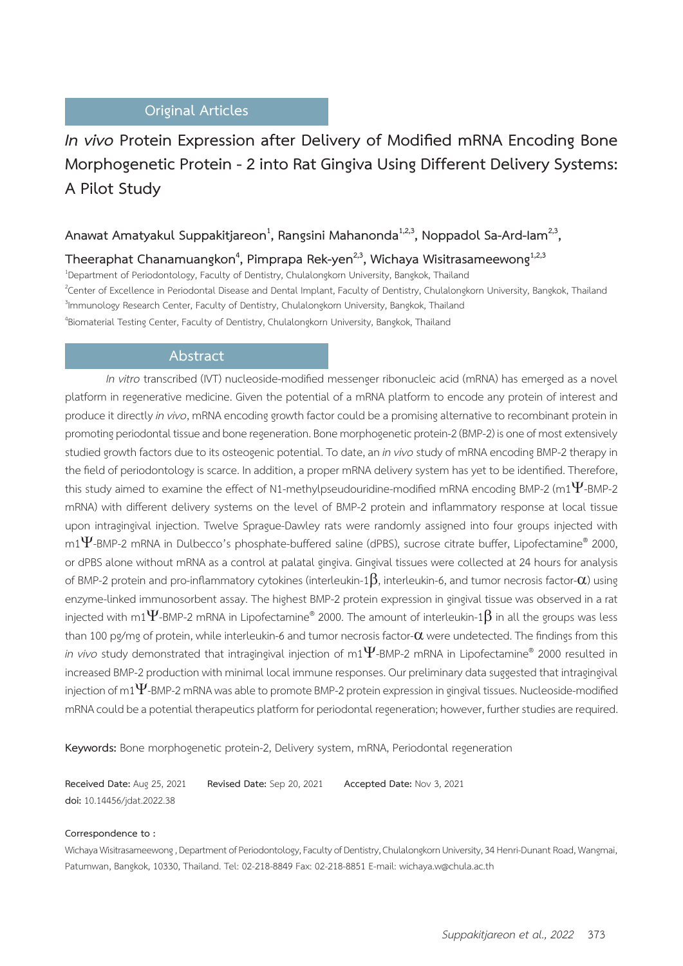## **Original Articles**

# *In vivo* **Protein Expression after Delivery of Modified mRNA Encoding Bone Morphogenetic Protein - 2 into Rat Gingiva Using Different Delivery Systems: A Pilot Study**

## Anawat Amatyakul Suppakitjareon<sup>1</sup>, Rangsini Mahanonda<sup>1,2,3</sup>, Noppadol Sa-Ard-Iam<sup>2,3</sup>,

Theeraphat Chanamuangkon<sup>4</sup>, Pimprapa Rek-yen<sup>2,3</sup>, Wichaya Wisitrasameewong<sup>1,2,3</sup>

1 Department of Periodontology, Faculty of Dentistry, Chulalongkorn University, Bangkok, Thailand <sup>2</sup>Center of Excellence in Periodontal Disease and Dental Implant, Faculty of Dentistry, Chulalongkorn University, Bangkok, Thailand <sup>3</sup>Immunology Research Center, Faculty of Dentistry, Chulalongkorn University, Bangkok, Thailand 4 Biomaterial Testing Center, Faculty of Dentistry, Chulalongkorn University, Bangkok, Thailand

#### **Abstract**

*In vitro* transcribed (IVT) nucleoside-modified messenger ribonucleic acid (mRNA) has emerged as a novel platform in regenerative medicine. Given the potential of a mRNA platform to encode any protein of interest and produce it directly *in vivo*, mRNA encoding growth factor could be a promising alternative to recombinant protein in promoting periodontal tissue and bone regeneration. Bone morphogenetic protein-2 (BMP-2) is one of most extensively studied growth factors due to its osteogenic potential. To date, an *in vivo* study of mRNA encoding BMP-2 therapy in the field of periodontology is scarce. In addition, a proper mRNA delivery system has yet to be identified. Therefore, this study aimed to examine the effect of N1-methylpseudouridine-modified mRNA encoding BMP-2 (m1 $\Psi$ -BMP-2 mRNA) with different delivery systems on the level of BMP-2 protein and inflammatory response at local tissue upon intragingival injection. Twelve Sprague-Dawley rats were randomly assigned into four groups injected with m1 $\Psi$ -BMP-2 mRNA in Dulbecco's phosphate-buffered saline (dPBS), sucrose citrate buffer, Lipofectamine® 2000, or dPBS alone without mRNA as a control at palatal gingiva. Gingival tissues were collected at 24 hours for analysis of BMP-2 protein and pro-inflammatory cytokines (interleukin-1 $\beta$ , interleukin-6, and tumor necrosis factor- $\alpha$ ) using enzyme-linked immunosorbent assay. The highest BMP-2 protein expression in gingival tissue was observed in a rat injected with m1 $\Psi$ -BMP-2 mRNA in Lipofectamine® 2000. The amount of interleukin-1 $\beta$  in all the groups was less than 100 pg/mg of protein, while interleukin-6 and tumor necrosis factor- $\alpha$  were undetected. The findings from this  $\dot{m}$  vivo study demonstrated that intragingival injection of m1 $\Psi$ -BMP-2 mRNA in Lipofectamine $^{\circ}$  2000 resulted in increased BMP-2 production with minimal local immune responses. Our preliminary data suggested that intragingival injection of m1 $\Psi$ -BMP-2 mRNA was able to promote BMP-2 protein expression in gingival tissues. Nucleoside-modified mRNA could be a potential therapeutics platform for periodontal regeneration; however, further studies are required.

**Keywords:** Bone morphogenetic protein-2, Delivery system, mRNA, Periodontal regeneration

**Received Date:** Aug 25, 2021 **Revised Date:** Sep 20, 2021 **Accepted Date:** Nov 3, 2021 **doi:** 10.14456/jdat.2022.38

#### **Correspondence to :**

Wichaya Wisitrasameewong , Department of Periodontology, Faculty of Dentistry, Chulalongkorn University, 34 Henri-Dunant Road, Wangmai, Patumwan, Bangkok, 10330, Thailand. Tel: 02-218-8849 Fax: 02-218-8851 E-mail: wichaya.w@chula.ac.th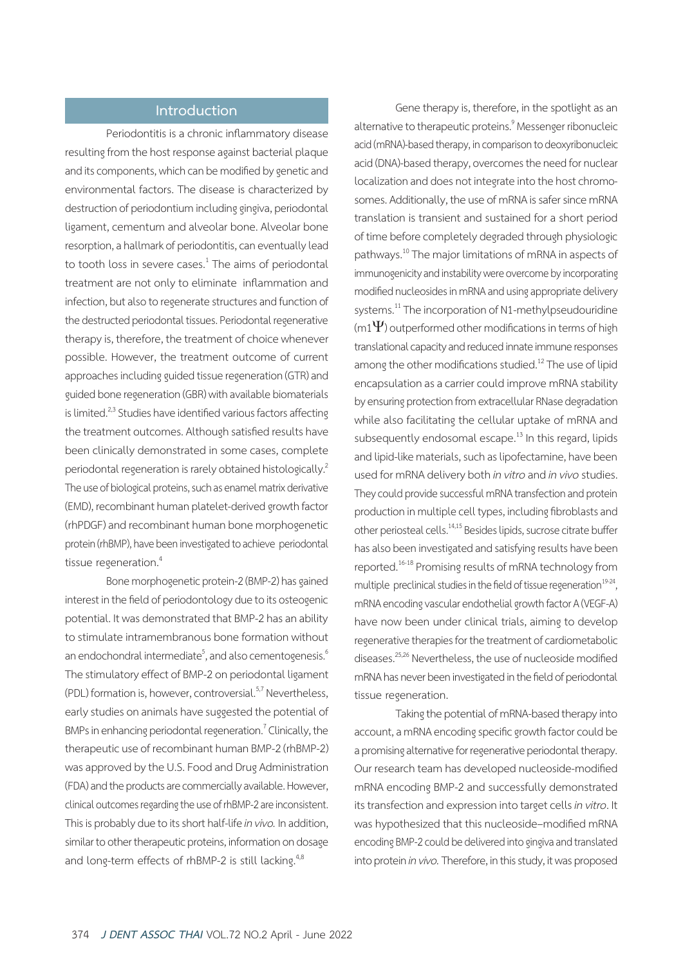## **Introduction**

Periodontitis is a chronic inflammatory disease resulting from the host response against bacterial plaque and its components, which can be modified by genetic and environmental factors. The disease is characterized by destruction of periodontium including gingiva, periodontal ligament, cementum and alveolar bone. Alveolar bone resorption, a hallmark of periodontitis, can eventually lead to tooth loss in severe cases.<sup>1</sup> The aims of periodontal treatment are not only to eliminate inflammation and infection, but also to regenerate structures and function of the destructed periodontal tissues. Periodontal regenerative therapy is, therefore, the treatment of choice whenever possible. However, the treatment outcome of current approaches including guided tissue regeneration (GTR) and guided bone regeneration (GBR) with available biomaterials is limited.<sup>2,3</sup> Studies have identified various factors affecting the treatment outcomes. Although satisfied results have been clinically demonstrated in some cases, complete periodontal regeneration is rarely obtained histologically.2 The use of biological proteins, such as enamel matrix derivative (EMD), recombinant human platelet-derived growth factor (rhPDGF) and recombinant human bone morphogenetic protein (rhBMP), have been investigated to achieve periodontal tissue regeneration.<sup>4</sup>

Bone morphogenetic protein-2 (BMP-2) has gained interest in the field of periodontology due to its osteogenic potential. It was demonstrated that BMP-2 has an ability to stimulate intramembranous bone formation without an endochondral intermediate $^5$ , and also cementogenesis. $^6$ The stimulatory effect of BMP-2 on periodontal ligament (PDL) formation is, however, controversial.<sup>5,7</sup> Nevertheless, early studies on animals have suggested the potential of BMPs in enhancing periodontal regeneration.<sup>7</sup> Clinically, the therapeutic use of recombinant human BMP-2 (rhBMP-2) was approved by the U.S. Food and Drug Administration (FDA) and the products are commercially available. However, clinical outcomes regarding the use of rhBMP-2 are inconsistent. This is probably due to its short half-life *in vivo.* In addition, similar to other therapeutic proteins, information on dosage and long-term effects of rhBMP-2 is still lacking.<sup>4,8</sup>

Gene therapy is, therefore, in the spotlight as an alternative to therapeutic proteins.<sup>9</sup> Messenger ribonucleic acid (mRNA)-based therapy, in comparison to deoxyribonucleic acid (DNA)-based therapy, overcomes the need for nuclear localization and does not integrate into the host chromosomes. Additionally, the use of mRNA is safer since mRNA translation is transient and sustained for a short period of time before completely degraded through physiologic pathways.<sup>10</sup> The major limitations of mRNA in aspects of immunogenicity and instability were overcome by incorporating modified nucleosides in mRNA and using appropriate delivery systems.<sup>11</sup> The incorporation of N1-methylpseudouridine  $(m1\Psi)$  outperformed other modifications in terms of high translational capacity and reduced innate immune responses among the other modifications studied.<sup>12</sup> The use of lipid encapsulation as a carrier could improve mRNA stability by ensuring protection from extracellular RNase degradation while also facilitating the cellular uptake of mRNA and subsequently endosomal escape.<sup>13</sup> In this regard, lipids and lipid-like materials, such as lipofectamine, have been used for mRNA delivery both *in vitro* and *in vivo* studies. They could provide successful mRNA transfection and protein production in multiple cell types, including fibroblasts and other periosteal cells.<sup>14,15</sup> Besides lipids, sucrose citrate buffer has also been investigated and satisfying results have been reported.16-18 Promising results of mRNA technology from multiple preclinical studies in the field of tissue regeneration<sup>19-24</sup>, mRNA encoding vascular endothelial growth factor A (VEGF-A) have now been under clinical trials, aiming to develop regenerative therapies for the treatment of cardiometabolic diseases.25,26 Nevertheless, the use of nucleoside modified mRNA has never been investigated in the field of periodontal tissue regeneration.

Taking the potential of mRNA-based therapy into account, a mRNA encoding specific growth factor could be a promising alternative for regenerative periodontal therapy. Our research team has developed nucleoside-modified mRNA encoding BMP-2 and successfully demonstrated its transfection and expression into target cells *in vitro*. It was hypothesized that this nucleoside–modified mRNA encoding BMP-2 could be delivered into gingiva and translated into protein *in vivo.* Therefore, in this study, it was proposed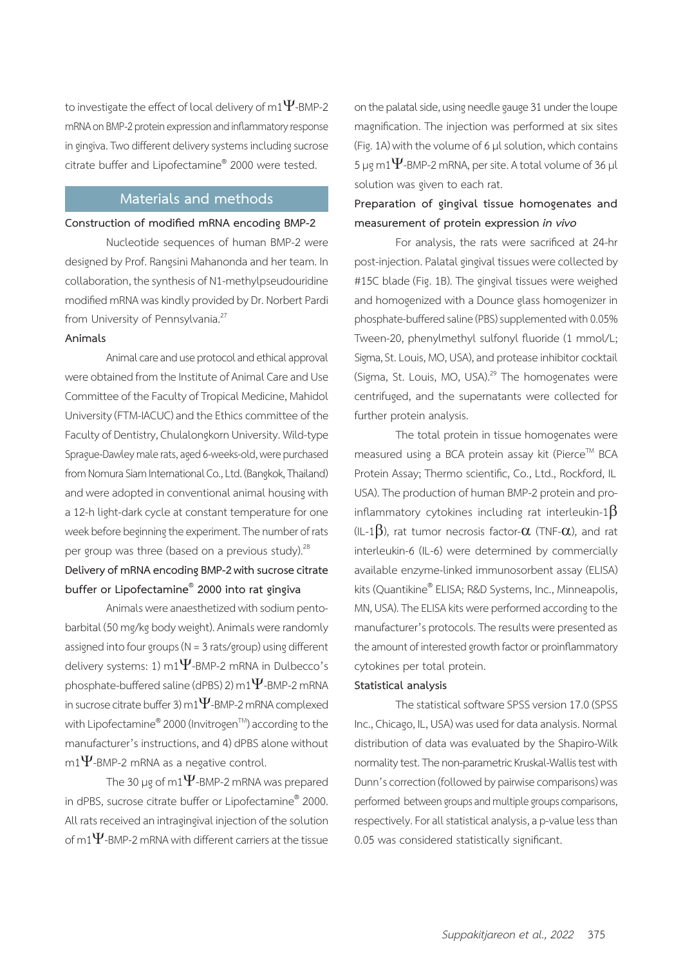to investigate the effect of local delivery of m1 $\Psi$ -BMP-2 mRNA on BMP-2 protein expression and inflammatory response in gingiva. Two different delivery systems including sucrose citrate buffer and Lipofectamine® 2000 were tested.

## **Materials and methods**

#### **Construction of modified mRNA encoding BMP-2**

Nucleotide sequences of human BMP-2 were designed by Prof. Rangsini Mahanonda and her team. In collaboration, the synthesis of N1-methylpseudouridine modified mRNA was kindly provided by Dr. Norbert Pardi from University of Pennsylvania.<sup>27</sup>

#### **Animals**

Animal care and use protocol and ethical approval were obtained from the Institute of Animal Care and Use Committee of the Faculty of Tropical Medicine, Mahidol University (FTM-IACUC) and the Ethics committee of the Faculty of Dentistry, Chulalongkorn University. Wild-type Sprague-Dawley male rats, aged 6-weeks-old, were purchased from Nomura Siam International Co., Ltd. (Bangkok, Thailand) and were adopted in conventional animal housing with a 12-h light-dark cycle at constant temperature for one week before beginning the experiment. The number of rats per group was three (based on a previous study).<sup>28</sup> **Delivery of mRNA encoding BMP-2 with sucrose citrate buffer or Lipofectamine® 2000 into rat gingiva**

Animals were anaesthetized with sodium pentobarbital (50 mg/kg body weight). Animals were randomly assigned into four groups (N = 3 rats/group) using different delivery systems: 1) m1 $\Psi$ -BMP-2 mRNA in Dulbecco's phosphate-buffered saline (dPBS) 2) m1 $\Psi$ -BMP-2 mRNA in sucrose citrate buffer 3) m1 $\Psi$ -BMP-2 mRNA complexed with Lipofectamine $^{\circ\!\!\!\!} 2000$  (Invitrogen $^{\!\!\!\top\!\!\!\! M}$ ) according to the manufacturer's instructions, and 4) dPBS alone without  $m1\Psi$ -BMP-2 mRNA as a negative control.

The 30 µg of m1 $\Psi$ -BMP-2 mRNA was prepared in dPBS, sucrose citrate buffer or Lipofectamine® 2000. All rats received an intragingival injection of the solution of m1 $\Psi$ -BMP-2 mRNA with different carriers at the tissue

on the palatal side, using needle gauge 31 under the loupe magnification. The injection was performed at six sites (Fig. 1A) with the volume of 6 µl solution, which contains 5 µg m1 $\Psi$ -BMP-2 mRNA, per site. A total volume of 36 µl solution was given to each rat.

## **Preparation of gingival tissue homogenates and measurement of protein expression** *in vivo*

For analysis, the rats were sacrificed at 24-hr post-injection. Palatal gingival tissues were collected by #15C blade (Fig. 1B). The gingival tissues were weighed and homogenized with a Dounce glass homogenizer in phosphate-buffered saline (PBS) supplemented with 0.05% Tween-20, phenylmethyl sulfonyl fluoride (1 mmol/L; Sigma, St. Louis, MO, USA), and protease inhibitor cocktail (Sigma, St. Louis, MO, USA).<sup>29</sup> The homogenates were centrifuged, and the supernatants were collected for further protein analysis.

The total protein in tissue homogenates were measured using a BCA protein assay kit (Pierce™ BCA Protein Assay; Thermo scientific, Co., Ltd., Rockford, IL USA). The production of human BMP-2 protein and proinflammatory cytokines including rat interleukin-1 $\beta$ (IL-1 $\beta$ ), rat tumor necrosis factor- $\alpha$  (TNF- $\alpha$ ), and rat interleukin-6 (IL-6) were determined by commercially available enzyme-linked immunosorbent assay (ELISA) kits (Quantikine® ELISA; R&D Systems, Inc., Minneapolis, MN, USA). The ELISA kits were performed according to the manufacturer's protocols. The results were presented as the amount of interested growth factor or proinflammatory cytokines per total protein.

#### **Statistical analysis**

The statistical software SPSS version 17.0 (SPSS Inc., Chicago, IL, USA) was used for data analysis. Normal distribution of data was evaluated by the Shapiro-Wilk normality test. The non-parametric Kruskal-Wallis test with Dunn's correction (followed by pairwise comparisons) was performed between groups and multiple groups comparisons, respectively. For all statistical analysis, a p-value less than 0.05 was considered statistically significant.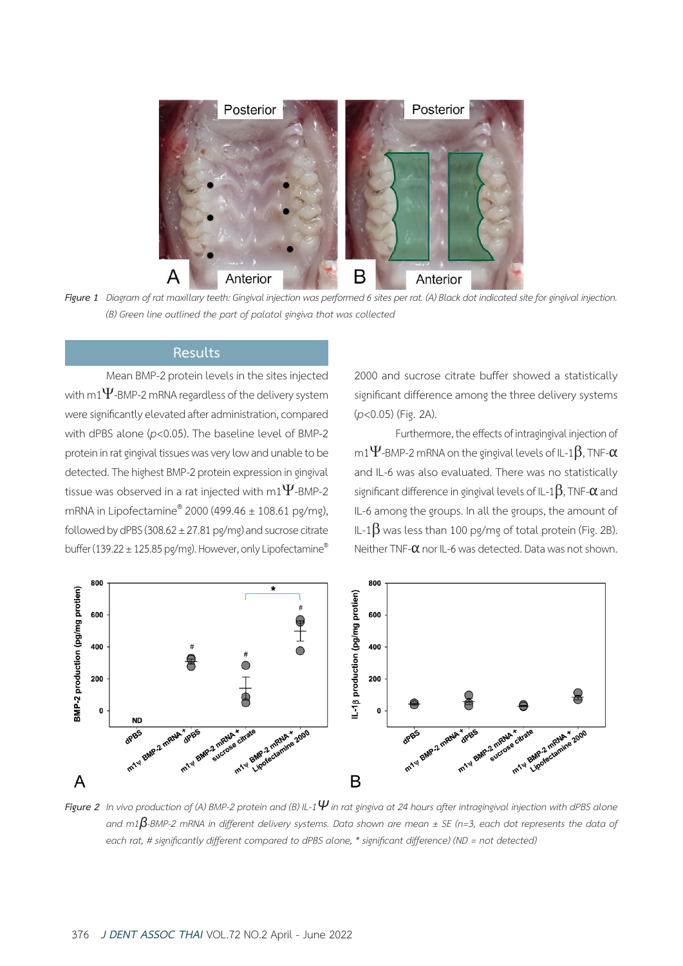

Figure 1 Diagram of rat maxillary teeth: Gingival injection was performed 6 sites per rat. (A) Black dot indicated site for gingival injection.  *(B) Green line outlined the part of palatal gingiva that was collected*

## **Results**

Mean BMP-2 protein levels in the sites injected with m1 $\Psi$ -BMP-2 mRNA regardless of the delivery system were significantly elevated after administration, compared with dPBS alone (*p*<0.05). The baseline level of BMP-2 protein in rat gingival tissues was very low and unable to be detected. The highest BMP-2 protein expression in gingival tissue was observed in a rat injected with m1 $\Psi$ -BMP-2 mRNA in Lipofectamine® 2000 (499.46 ± 108.61 pg/mg), followed by dPBS (308.62  $\pm$  27.81 pg/mg) and sucrose citrate buffer (139.22 ± 125.85 pg/mg). However, only Lipofectamine®

2000 and sucrose citrate buffer showed a statistically significant difference among the three delivery systems (*p*<0.05) (Fig. 2A).

Furthermore, the effects of intragingival injection of m1 $\Psi$ -BMP-2 mRNA on the gingival levels of IL-1 $\beta$ , TNF- $\alpha$ and IL-6 was also evaluated. There was no statistically significant difference in gingival levels of IL-1 $\beta$ , TNF- $\alpha$  and IL-6 among the groups. In all the groups, the amount of IL-1 $\beta$  was less than 100 pg/mg of total protein (Fig. 2B). Neither TNF-α nor IL-6 was detected. Data was not shown.



Figure 2 In vivo production of (A) BMP-2 protein and (B) IL-1 $\Psi$  in rat gingiva at 24 hours after intragingival injection with dPBS alone and m1 $\beta$ -BMP-2 mRNA in different delivery systems. Data shown are mean  $\pm$  SE (n=3, each dot represents the data of  *each rat, # significantly different compared to dPBS alone, \* significant difference) (ND = not detected)*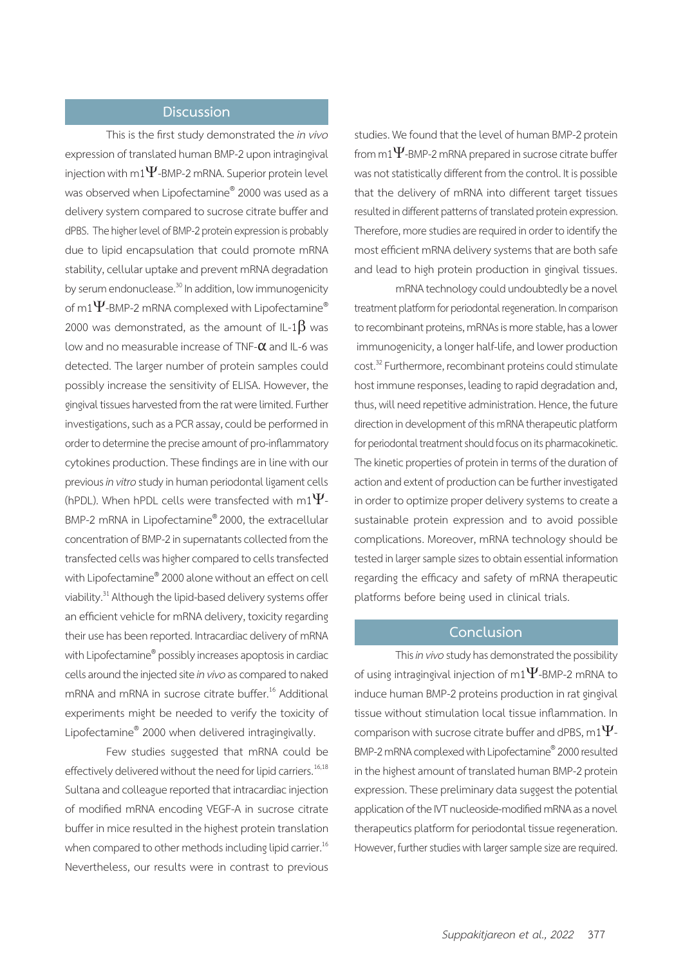### **Discussion**

This is the first study demonstrated the *in vivo*  expression of translated human BMP-2 upon intragingival injection with m1 $\Psi$ -BMP-2 mRNA. Superior protein level was observed when Lipofectamine® 2000 was used as a delivery system compared to sucrose citrate buffer and dPBS. The higher level of BMP-2 protein expression is probably due to lipid encapsulation that could promote mRNA stability, cellular uptake and prevent mRNA degradation by serum endonuclease.<sup>30</sup> In addition, low immunogenicity of m1 $\Psi$ -BMP-2 mRNA complexed with Lipofectamine® 2000 was demonstrated, as the amount of IL-1 $\beta$  was low and no measurable increase of TNF-α and IL-6 was detected. The larger number of protein samples could possibly increase the sensitivity of ELISA. However, the gingival tissues harvested from the rat were limited. Further investigations, such as a PCR assay, could be performed in order to determine the precise amount of pro-inflammatory cytokines production. These findings are in line with our previous *in vitro* study in human periodontal ligament cells (hPDL). When hPDL cells were transfected with m1 $\Psi$ -BMP-2 mRNA in Lipofectamine® 2000, the extracellular concentration of BMP-2 in supernatants collected from the transfected cells was higher compared to cells transfected with Lipofectamine® 2000 alone without an effect on cell viability.<sup>31</sup> Although the lipid-based delivery systems offer an efficient vehicle for mRNA delivery, toxicity regarding their use has been reported. Intracardiac delivery of mRNA with Lipofectamine® possibly increases apoptosis in cardiac cells around the injected site *in vivo* as compared to naked mRNA and mRNA in sucrose citrate buffer.<sup>16</sup> Additional experiments might be needed to verify the toxicity of Lipofectamine® 2000 when delivered intragingivally.

Few studies suggested that mRNA could be effectively delivered without the need for lipid carriers.<sup>16,18</sup> Sultana and colleague reported that intracardiac injection of modified mRNA encoding VEGF-A in sucrose citrate buffer in mice resulted in the highest protein translation when compared to other methods including lipid carrier.<sup>16</sup> Nevertheless, our results were in contrast to previous studies. We found that the level of human BMP-2 protein from m1 $\Psi$ -BMP-2 mRNA prepared in sucrose citrate buffer was not statistically different from the control. It is possible that the delivery of mRNA into different target tissues resulted in different patterns of translated protein expression. Therefore, more studies are required in order to identify the most efficient mRNA delivery systems that are both safe and lead to high protein production in gingival tissues.

mRNA technology could undoubtedly be a novel treatment platform for periodontal regeneration. In comparison to recombinant proteins, mRNAs is more stable, has a lower immunogenicity, a longer half-life, and lower production cost.<sup>32</sup> Furthermore, recombinant proteins could stimulate host immune responses, leading to rapid degradation and, thus, will need repetitive administration. Hence, the future direction in development of this mRNA therapeutic platform for periodontal treatment should focus on its pharmacokinetic. The kinetic properties of protein in terms of the duration of action and extent of production can be further investigated in order to optimize proper delivery systems to create a sustainable protein expression and to avoid possible complications. Moreover, mRNA technology should be tested in larger sample sizes to obtain essential information regarding the efficacy and safety of mRNA therapeutic platforms before being used in clinical trials.

## **Conclusion**

This *in vivo* study has demonstrated the possibility of using intragingival injection of m1 $\Psi$ -BMP-2 mRNA to induce human BMP-2 proteins production in rat gingival tissue without stimulation local tissue inflammation. In comparison with sucrose citrate buffer and dPBS, m1 $\Psi$ -BMP-2 mRNA complexed with Lipofectamine® 2000 resulted in the highest amount of translated human BMP-2 protein expression. These preliminary data suggest the potential application of the IVT nucleoside-modified mRNA as a novel therapeutics platform for periodontal tissue regeneration. However, further studies with larger sample size are required.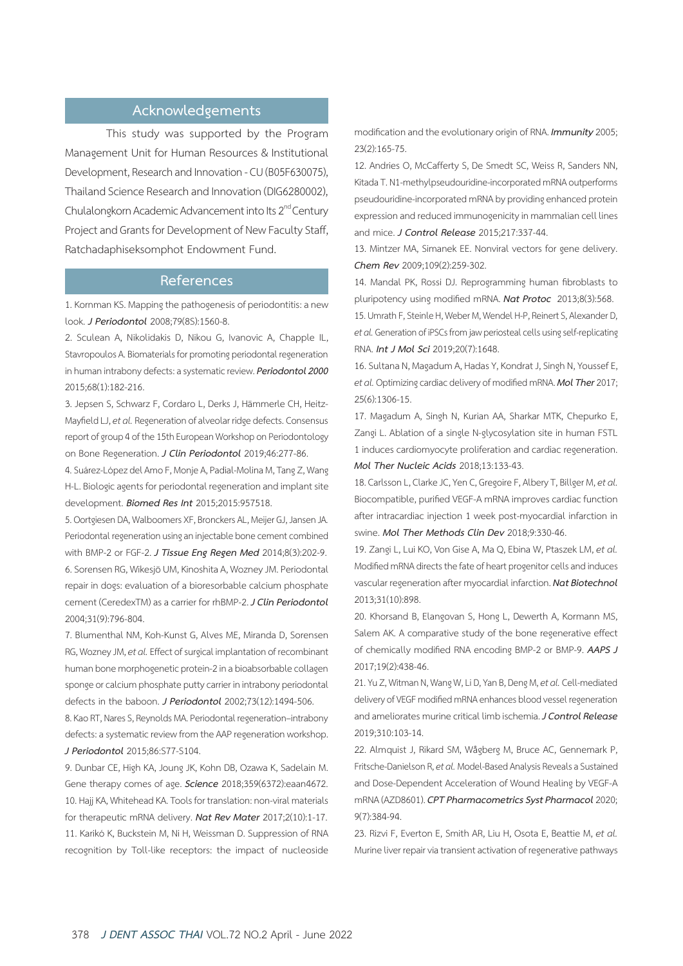## **Acknowledgements**

This study was supported by the Program Management Unit for Human Resources & Institutional Development, Research and Innovation - CU (B05F630075), Thailand Science Research and Innovation (DIG6280002), Chulalongkorn Academic Advancement into Its 2<sup>nd</sup> Century Project and Grants for Development of New Faculty Staff, Ratchadaphiseksomphot Endowment Fund.

#### **References**

1. Kornman KS. Mapping the pathogenesis of periodontitis: a new look. *J Periodontol* 2008;79(8S):1560-8.

2. Sculean A, Nikolidakis D, Nikou G, Ivanovic A, Chapple IL, Stavropoulos A. Biomaterials for promoting periodontal regeneration in human intrabony defects: a systematic review. *Periodontol 2000*  2015;68(1):182-216.

3. Jepsen S, Schwarz F, Cordaro L, Derks J, Hämmerle CH, Heitz-Mayfield LJ, *et al.* Regeneration of alveolar ridge defects. Consensus report of group 4 of the 15th European Workshop on Periodontology on Bone Regeneration. *J Clin Periodontol* 2019;46:277-86.

4. Suárez-López del Amo F, Monje A, Padial-Molina M, Tang Z, Wang H-L. Biologic agents for periodontal regeneration and implant site development. *Biomed Res Int* 2015;2015:957518.

5. Oortgiesen DA, Walboomers XF, Bronckers AL, Meijer GJ, Jansen JA. Periodontal regeneration using an injectable bone cement combined with BMP-2 or FGF-2. *J Tissue Eng Regen Med* 2014;8(3):202-9. 6. Sorensen RG, Wikesjö UM, Kinoshita A, Wozney JM. Periodontal repair in dogs: evaluation of a bioresorbable calcium phosphate cement (CeredexTM) as a carrier for rhBMP-2. *J Clin Periodontol*  2004;31(9):796-804.

7. Blumenthal NM, Koh-Kunst G, Alves ME, Miranda D, Sorensen RG, Wozney JM, *et al.* Effect of surgical implantation of recombinant human bone morphogenetic protein-2 in a bioabsorbable collagen sponge or calcium phosphate putty carrier in intrabony periodontal defects in the baboon. *J Periodontol* 2002;73(12):1494-506.

8. Kao RT, Nares S, Reynolds MA. Periodontal regeneration–intrabony defects: a systematic review from the AAP regeneration workshop. *J Periodontol* 2015;86:S77-S104.

9. Dunbar CE, High KA, Joung JK, Kohn DB, Ozawa K, Sadelain M. Gene therapy comes of age. *Science* 2018;359(6372):eaan4672. 10. Hajj KA, Whitehead KA. Tools for translation: non-viral materials for therapeutic mRNA delivery. *Nat Rev Mater* 2017;2(10):1-17. 11. Karikó K, Buckstein M, Ni H, Weissman D. Suppression of RNA recognition by Toll-like receptors: the impact of nucleoside modification and the evolutionary origin of RNA. *Immunity* 2005; 23(2):165-75.

12. Andries O, McCafferty S, De Smedt SC, Weiss R, Sanders NN, Kitada T. N1-methylpseudouridine-incorporated mRNA outperforms pseudouridine-incorporated mRNA by providing enhanced protein expression and reduced immunogenicity in mammalian cell lines and mice. *J Control Release* 2015;217:337-44.

13. Mintzer MA, Simanek EE. Nonviral vectors for gene delivery. *Chem Rev* 2009;109(2):259-302.

14. Mandal PK, Rossi DJ. Reprogramming human fibroblasts to pluripotency using modified mRNA. *Nat Protoc* 2013;8(3):568.

15. Umrath F, Steinle H, Weber M, Wendel H-P, Reinert S, Alexander D, *et al.* Generation of iPSCs from jaw periosteal cells using self-replicating RNA. *Int J Mol Sci* 2019;20(7):1648.

16. Sultana N, Magadum A, Hadas Y, Kondrat J, Singh N, Youssef E, *et al.* Optimizing cardiac delivery of modified mRNA. *Mol Ther* 2017; 25(6):1306-15.

17. Magadum A, Singh N, Kurian AA, Sharkar MTK, Chepurko E, Zangi L. Ablation of a single N-glycosylation site in human FSTL 1 induces cardiomyocyte proliferation and cardiac regeneration. *Mol Ther Nucleic Acids* 2018;13:133-43.

18. Carlsson L, Clarke JC, Yen C, Gregoire F, Albery T, Billger M, *et al.*  Biocompatible, purified VEGF-A mRNA improves cardiac function after intracardiac injection 1 week post-myocardial infarction in swine. *Mol Ther Methods Clin Dev* 2018;9:330-46.

19. Zangi L, Lui KO, Von Gise A, Ma Q, Ebina W, Ptaszek LM, *et al.*  Modified mRNA directs the fate of heart progenitor cells and induces vascular regeneration after myocardial infarction. *Nat Biotechnol*  2013;31(10):898.

20. Khorsand B, Elangovan S, Hong L, Dewerth A, Kormann MS, Salem AK. A comparative study of the bone regenerative effect of chemically modified RNA encoding BMP-2 or BMP-9. *AAPS J*  2017;19(2):438-46.

21. Yu Z, Witman N, Wang W, Li D, Yan B, Deng M, *et al.* Cell-mediated delivery of VEGF modified mRNA enhances blood vessel regeneration and ameliorates murine critical limb ischemia. *J Control Release*  2019;310:103-14.

22. Almquist J, Rikard SM, Wågberg M, Bruce AC, Gennemark P, Fritsche-Danielson R, *et al.* Model-Based Analysis Reveals a Sustained and Dose-Dependent Acceleration of Wound Healing by VEGF-A mRNA (AZD8601). *CPT Pharmacometrics Syst Pharmacol* 2020; 9(7):384-94.

23. Rizvi F, Everton E, Smith AR, Liu H, Osota E, Beattie M, *et al.*  Murine liver repair via transient activation of regenerative pathways